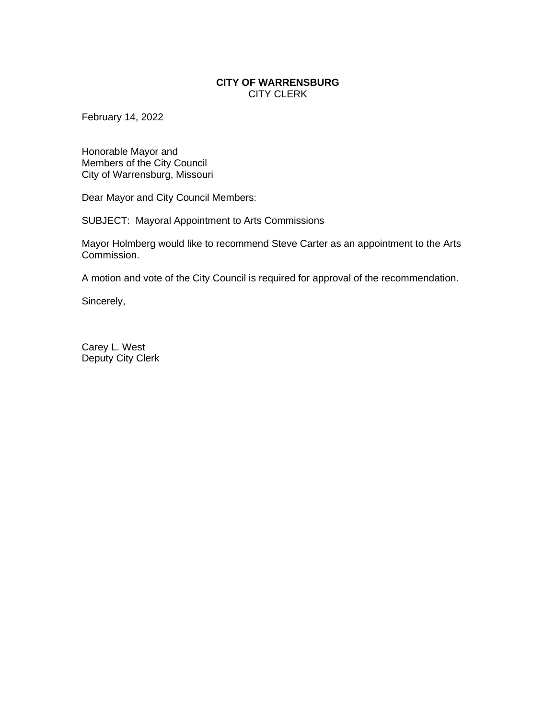## **CITY OF WARRENSBURG** CITY CLERK

February 14, 2022

Honorable Mayor and Members of the City Council City of Warrensburg, Missouri

Dear Mayor and City Council Members:

SUBJECT: Mayoral Appointment to Arts Commissions

Mayor Holmberg would like to recommend Steve Carter as an appointment to the Arts Commission.

A motion and vote of the City Council is required for approval of the recommendation.

Sincerely,

Carey L. West Deputy City Clerk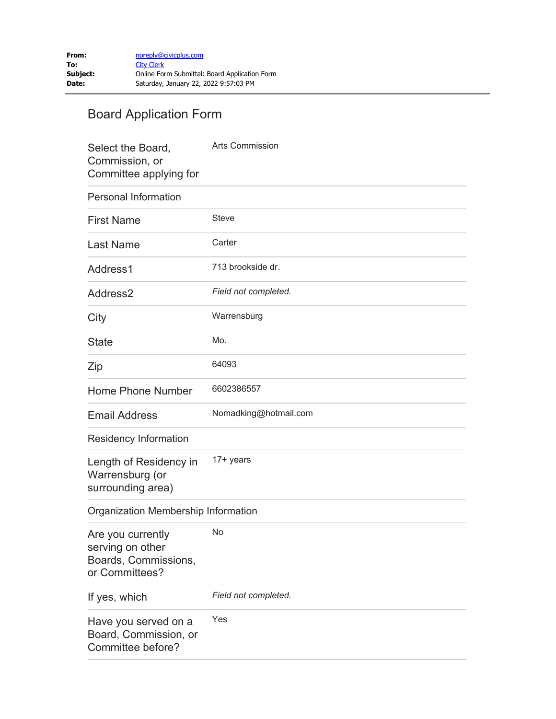## Board Application Form

| Select the Board,<br>Commission, or<br>Committee applying for                   | <b>Arts Commission</b> |
|---------------------------------------------------------------------------------|------------------------|
| <b>Personal Information</b>                                                     |                        |
| <b>First Name</b>                                                               | <b>Steve</b>           |
| <b>Last Name</b>                                                                | Carter                 |
| Address1                                                                        | 713 brookside dr.      |
| Address2                                                                        | Field not completed.   |
| City                                                                            | Warrensburg            |
| <b>State</b>                                                                    | Mo.                    |
| Zip                                                                             | 64093                  |
| Home Phone Number                                                               | 6602386557             |
| <b>Email Address</b>                                                            | Nomadking@hotmail.com  |
| Residency Information                                                           |                        |
| Length of Residency in<br>Warrensburg (or<br>surrounding area)                  | 17+ years              |
| Organization Membership Information                                             |                        |
| Are you currently<br>serving on other<br>Boards, Commissions,<br>or Committees? | No                     |
| If yes, which                                                                   | Field not completed.   |
| Have you served on a<br>Board, Commission, or<br>Committee before?              | Yes                    |